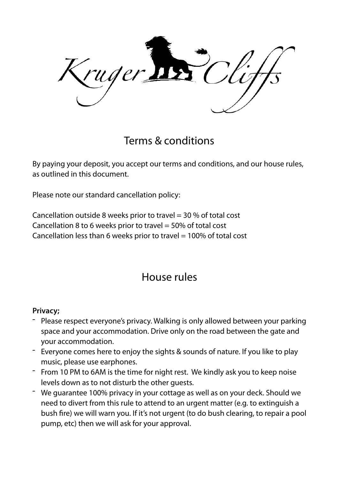ruger

Terms & conditions

By paying your deposit, you accept our terms and conditions, and our house rules, as outlined in this document.

Please note our standard cancellation policy:

Cancellation outside 8 weeks prior to travel  $=$  30 % of total cost Cancellation 8 to 6 weeks prior to travel = 50% of total cost Cancellation less than 6 weeks prior to travel = 100% of total cost

# House rules

#### **Privacy;**

- Please respect everyone's privacy. Walking is only allowed between your parking space and your accommodation. Drive only on the road between the gate and your accommodation.
- Everyone comes here to enjoy the sights & sounds of nature. If you like to play music, please use earphones.
- From 10 PM to 6AM is the time for night rest. We kindly ask you to keep noise levels down as to not disturb the other guests.
- We guarantee 100% privacy in your cottage as well as on your deck. Should we need to divert from this rule to attend to an urgent matter (e.g. to extinguish a bush fre) we will warn you. If it's not urgent (to do bush clearing, to repair a pool pump, etc) then we will ask for your approval.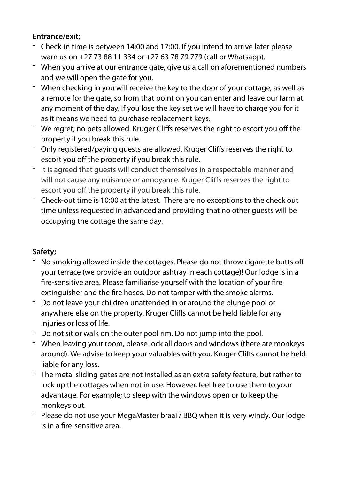## **Entrance/exit;**

- Check-in time is between 14:00 and 17:00. If you intend to arrive later please warn us on +27 73 88 11 334 or +27 63 78 79 779 (call or Whatsapp).
- When you arrive at our entrance gate, give us a call on aforementioned numbers and we will open the gate for you.
- When checking in you will receive the key to the door of your cottage, as well as a remote for the gate, so from that point on you can enter and leave our farm at any moment of the day. If you lose the key set we will have to charge you for it as it means we need to purchase replacement keys.
- We regret; no pets allowed. Kruger Cliffs reserves the right to escort you off the property if you break this rule.
- Only registered/paying guests are allowed. Kruger Cliffs reserves the right to escort you off the property if you break this rule.
- It is agreed that guests will conduct themselves in a respectable manner and will not cause any nuisance or annoyance. Kruger Cliffs reserves the right to escort you off the property if you break this rule.
- Check-out time is 10:00 at the latest. There are no exceptions to the check out time unless requested in advanced and providing that no other guests will be occupying the cottage the same day.

## **Safety;**

- No smoking allowed inside the cottages. Please do not throw cigarette butts off your terrace (we provide an outdoor ashtray in each cottage)! Our lodge is in a fre-sensitive area. Please familiarise yourself with the location of your fre extinguisher and the fre hoses. Do not tamper with the smoke alarms.
- Do not leave your children unattended in or around the plunge pool or anywhere else on the property. Kruger Cliffs cannot be held liable for any injuries or loss of life.
- Do not sit or walk on the outer pool rim. Do not jump into the pool.
- When leaving your room, please lock all doors and windows (there are monkeys around). We advise to keep your valuables with you. Kruger Cliffs cannot be held liable for any loss.
- The metal sliding gates are not installed as an extra safety feature, but rather to lock up the cottages when not in use. However, feel free to use them to your advantage. For example; to sleep with the windows open or to keep the monkeys out.
- Please do not use your MegaMaster braai / BBQ when it is very windy. Our lodge is in a fre-sensitive area.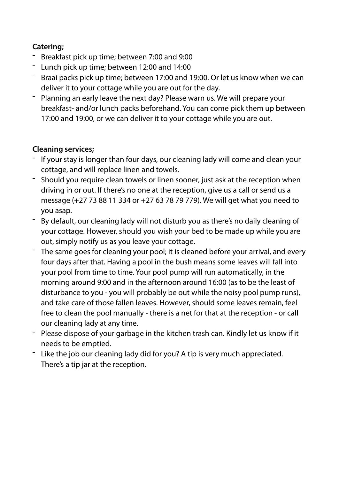## **Catering;**

- Breakfast pick up time; between 7:00 and 9:00
- Lunch pick up time; between 12:00 and 14:00
- Braai packs pick up time; between 17:00 and 19:00. Or let us know when we can deliver it to your cottage while you are out for the day.
- Planning an early leave the next day? Please warn us. We will prepare your breakfast- and/or lunch packs beforehand. You can come pick them up between 17:00 and 19:00, or we can deliver it to your cottage while you are out.

# **Cleaning services;**

- If your stay is longer than four days, our cleaning lady will come and clean your cottage, and will replace linen and towels.
- Should you require clean towels or linen sooner, just ask at the reception when driving in or out. If there's no one at the reception, give us a call or send us a message (+27 73 88 11 334 or +27 63 78 79 779). We will get what you need to you asap.
- By default, our cleaning lady will not disturb you as there's no daily cleaning of your cottage. However, should you wish your bed to be made up while you are out, simply notify us as you leave your cottage.
- The same goes for cleaning your pool; it is cleaned before your arrival, and every four days after that. Having a pool in the bush means some leaves will fall into your pool from time to time. Your pool pump will run automatically, in the morning around 9:00 and in the afternoon around 16:00 (as to be the least of disturbance to you - you will probably be out while the noisy pool pump runs), and take care of those fallen leaves. However, should some leaves remain, feel free to clean the pool manually - there is a net for that at the reception - or call our cleaning lady at any time.
- Please dispose of your garbage in the kitchen trash can. Kindly let us know if it needs to be emptied.
- Like the job our cleaning lady did for you? A tip is very much appreciated. There's a tip jar at the reception.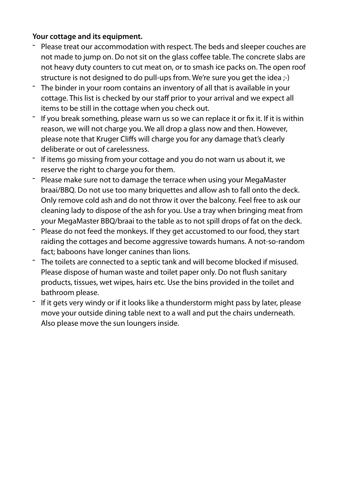#### **Your cottage and its equipment.**

- Please treat our accommodation with respect. The beds and sleeper couches are not made to jump on. Do not sit on the glass coffee table. The concrete slabs are not heavy duty counters to cut meat on, or to smash ice packs on. The open roof structure is not designed to do pull-ups from. We're sure you get the idea ;-)
- The binder in your room contains an inventory of all that is available in your cottage. This list is checked by our staff prior to your arrival and we expect all items to be still in the cottage when you check out.
- If you break something, please warn us so we can replace it or fix it. If it is within reason, we will not charge you. We all drop a glass now and then. However, please note that Kruger Cliffs will charge you for any damage that's clearly deliberate or out of carelessness.
- If items go missing from your cottage and you do not warn us about it, we reserve the right to charge you for them.
- Please make sure not to damage the terrace when using your MegaMaster braai/BBQ. Do not use too many briquettes and allow ash to fall onto the deck. Only remove cold ash and do not throw it over the balcony. Feel free to ask our cleaning lady to dispose of the ash for you. Use a tray when bringing meat from your MegaMaster BBQ/braai to the table as to not spill drops of fat on the deck.
- Please do not feed the monkeys. If they get accustomed to our food, they start raiding the cottages and become aggressive towards humans. A not-so-random fact; baboons have longer canines than lions.
- The toilets are connected to a septic tank and will become blocked if misused. Please dispose of human waste and toilet paper only. Do not flush sanitary products, tissues, wet wipes, hairs etc. Use the bins provided in the toilet and bathroom please.
- If it gets very windy or if it looks like a thunderstorm might pass by later, please move your outside dining table next to a wall and put the chairs underneath. Also please move the sun loungers inside.